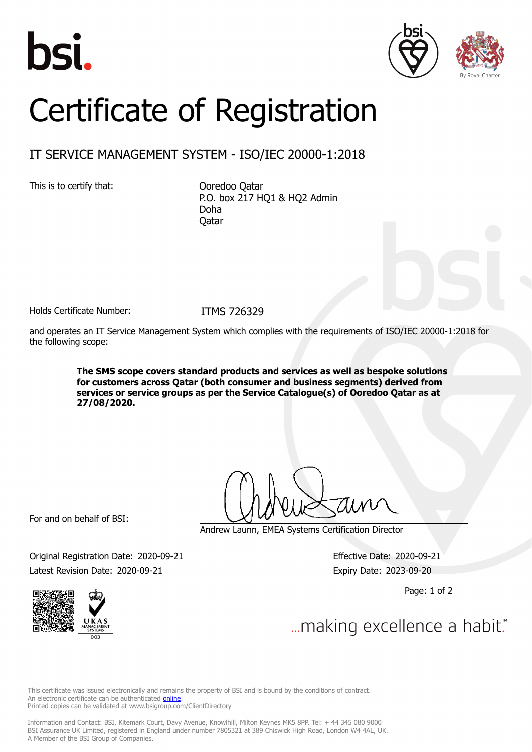





## Certificate of Registration

## IT SERVICE MANAGEMENT SYSTEM - ISO/IEC 20000-1:2018

This is to certify that: Ooredoo Qatar

P.O. box 217 HQ1 & HQ2 Admin Doha Qatar

Holds Certificate Number: ITMS 726329

and operates an IT Service Management System which complies with the requirements of ISO/IEC 20000-1:2018 for the following scope:

> **The SMS scope covers standard products and services as well as bespoke solutions for customers across Qatar (both consumer and business segments) derived from services or service groups as per the Service Catalogue(s) of Ooredoo Qatar as at 27/08/2020.**

For and on behalf of BSI:

Andrew Launn, EMEA Systems Certification Director

Original Registration Date: 2020-09-21 Effective Date: 2020-09-21 Latest Revision Date: 2020-09-21 Expiry Date: 2023-09-20

Page: 1 of 2



... making excellence a habit."

This certificate was issued electronically and remains the property of BSI and is bound by the conditions of contract. An electronic certificate can be authenticated **[online](https://pgplus.bsigroup.com/CertificateValidation/CertificateValidator.aspx?CertificateNumber=ITMS+726329&ReIssueDate=21%2f09%2f2020&Template=uk)**. Printed copies can be validated at www.bsigroup.com/ClientDirectory

Information and Contact: BSI, Kitemark Court, Davy Avenue, Knowlhill, Milton Keynes MK5 8PP. Tel: + 44 345 080 9000 BSI Assurance UK Limited, registered in England under number 7805321 at 389 Chiswick High Road, London W4 4AL, UK. A Member of the BSI Group of Companies.